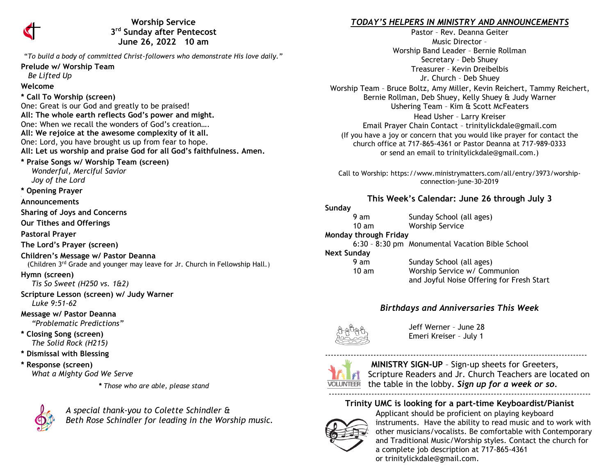

**Worship Service 3 rd Sunday after Pentecost June 26, 2022 10 am** 

"*To build a body of committed Christ-followers who demonstrate His love daily."*

**Prelude w/ Worship Team**

# *Be Lifted Up*

### **Welcome**

**\* Call To Worship (screen)** One: Great is our God and greatly to be praised! **All: The whole earth reflects God's power and might.**  One: When we recall the wonders of God's creation…. **All: We rejoice at the awesome complexity of it all.**  One: Lord, you have brought us up from fear to hope. **All: Let us worship and praise God for all God's faithfulness. Amen.**

**\* Praise Songs w/ Worship Team (screen)**  *Wonderful, Merciful Savior Joy of the Lord*

**\* Opening Prayer**

**Announcements** 

**Sharing of Joys and Concerns**

**Our Tithes and Offerings**

**Pastoral Prayer**

**The Lord's Prayer (screen)**

**Children's Message w/ Pastor Deanna**

(Children 3rd Grade and younger may leave for Jr. Church in Fellowship Hall.)

**Hymn (screen)**

 *Tis So Sweet (H250 vs. 1&2)*

**Scripture Lesson (screen) w/ Judy Warner** *Luke 9:51-62*

**Message w/ Pastor Deanna**  *"Problematic Predictions"*

**\* Closing Song (screen)**  *The Solid Rock (H215)*

**\* Dismissal with Blessing**

**\* Response (screen)**   *What a Mighty God We Serve*

*\* Those who are able, please stand*



*A special thank-you to Colette Schindler & Beth Rose Schindler for leading in the Worship music.*

### *TODAY'S HELPERS IN MINISTRY AND ANNOUNCEMENTS*

Pastor – Rev. Deanna Geiter Music Director – Worship Band Leader – Bernie Rollman Secretary – Deb Shuey Treasurer – Kevin Dreibelbis Jr. Church – Deb Shuey Worship Team – Bruce Boltz, Amy Miller, Kevin Reichert, Tammy Reichert, Bernie Rollman, Deb Shuey, Kelly Shuey & Judy Warner Ushering Team – Kim & Scott McFeaters Head Usher – Larry Kreiser Email Prayer Chain Contact – [trinitylickdale@gmail.com](mailto:trinitylickdale@gmail.com) (If you have a joy or concern that you would like prayer for contact the church office at 717-865-4361 or Pastor Deanna at 717-989-0333

Call to Worship: https://www.ministrymatters.com/all/entry/3973/worshipconnection-june-30-2019

or send an email to trinitylickdale@gmail.com.)

### **This Week's Calendar: June 26 through July 3**

#### **Sunday**

- 9 am Sunday School (all ages)
- 10 am Worship Service

**Monday through Friday**

6:30 – 8:30 pm Monumental Vacation Bible School

**Next Sunday**

| unuay           |                                           |
|-----------------|-------------------------------------------|
| 9 am            | Sunday School (all ages)                  |
| $10 \text{ am}$ | Worship Service w/ Communion              |
|                 | and Jovful Noise Offering for Fresh Start |

## *Birthdays and Anniversaries This Week*



Jeff Werner – June 28 Emeri Kreiser – July 1



**MINISTRY SIGN-UP** – Sign-up sheets for Greeters, Scripture Readers and Jr. Church Teachers are located on the table in the lobby. *Sign up for a week or so.* --------------------------------------------------------------------------------------------

--------------------------------------------------------------------------------------------

## **Trinity UMC is looking for a part-time Keyboardist/Pianist**



Applicant should be proficient on playing keyboard instruments. Have the ability to read music and to work with other musicians/vocalists. Be comfortable with Contemporary and Traditional Music/Worship styles. Contact the church for a complete job description at 717-865-4361 or [trinitylickdale@gmail.com.](mailto:trinitylickdale@gmail.com)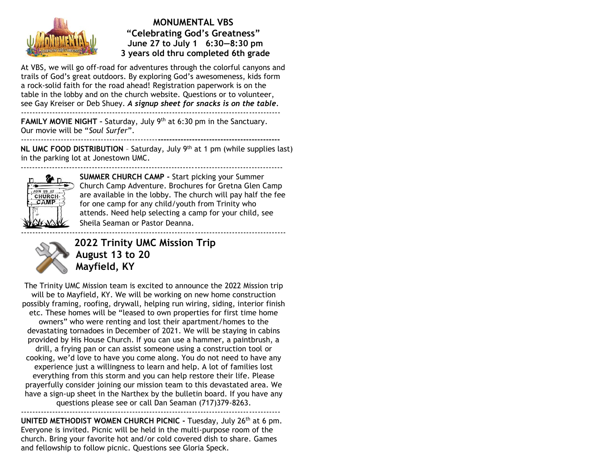

**MONUMENTAL VBS "Celebrating God's Greatness" June 27 to July 1 6:30—8:30 pm 3 years old thru completed 6th grade**

At VBS, we will go off-road for adventures through the colorful canyons and trails of God's great outdoors. By exploring God's awesomeness, kids form a rock-solid faith for the road ahead! Registration paperwork is on the table in the lobby and on the church website. Questions or to volunteer, see Gay Kreiser or Deb Shuey. *A signup sheet for snacks is on the table.* -------------------------------------------------------------------------------------------

**FAMILY MOVIE NIGHT** - Saturday, July 9<sup>th</sup> at 6:30 pm in the Sanctuary. Our movie will be "*Soul Surfer*". ------------------------------------------------**-------------------------------------------**

**NL UMC FOOD DISTRIBUTION** – Saturday, July 9th at 1 pm (while supplies last) in the parking lot at Jonestown UMC.



**SUMMER CHURCH CAMP -** Start picking your Summer Church Camp Adventure. Brochures for Gretna Glen Camp are available in the lobby. The church will pay half the fee for one camp for any child/youth from Trinity who attends. Need help selecting a camp for your child, see Sheila Seaman or Pastor Deanna.



**2022 Trinity UMC Mission Trip August 13 to 20 Mayfield, KY**

The Trinity UMC Mission team is excited to announce the 2022 Mission trip will be to Mayfield, KY. We will be working on new home construction possibly framing, roofing, drywall, helping run wiring, siding, interior finish etc. These homes will be "leased to own properties for first time home owners" who were renting and lost their apartment/homes to the devastating tornadoes in December of 2021. We will be staying in cabins provided by His House Church. If you can use a hammer, a paintbrush, a drill, a frying pan or can assist someone using a construction tool or cooking, we'd love to have you come along. You do not need to have any experience just a willingness to learn and help. A lot of families lost everything from this storm and you can help restore their life. Please prayerfully consider joining our mission team to this devastated area. We have a sign-up sheet in the Narthex by the bulletin board. If you have any questions please see or call Dan Seaman (717)379-8263.

-------------------------------------------------------------------------------------------

**UNITED METHODIST WOMEN CHURCH PICNIC -** Tuesday, July 26th at 6 pm. Everyone is invited. Picnic will be held in the multi-purpose room of the church. Bring your favorite hot and/or cold covered dish to share. Games and fellowship to follow picnic. Questions see Gloria Speck.